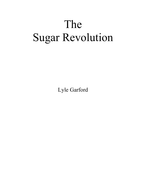## The Sugar Revolution

Lyle Garford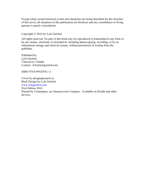Except where actual historical events and characters are being described for the storyline of this novel, all situations in this publication are fictitious and any resemblance to living persons is purely coincidental.

Copyright © 2016 by Lyle Garford

All rights reserved. No part of this book may be reproduced or transmitted in any form or by any means, electronic or mechanical, including photocopying, recording, or by an information storage and retrieval system, without permission in writing from the publisher.

Published by: Lyle Garford Vancouver, Canada Contact: lyle@lylegarford.com

ISBN 978-0-9952078-1-3

Cover by designspectacle.ca Book Design by Lyle Garford www.lylegarford.com First Edition 2016 Printed by Createspace, an Amazon.com Company. Available on Kindle and other devices.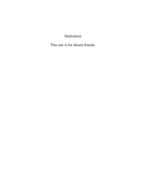## Dedication

This one is for absent friends.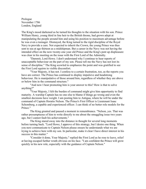Prologue November 1786 London, England

The King's mood darkened as he turned his thoughts to the situation with his son. Prince William Henry, young third in line heir to the British throne, had grown adept at manipulating the people around him and using his position to maximum advantage before he was even a teenager. Dismayed, the King turned to the rigid discipline of the Royal Navy to provide a cure. Not expected to inherit the Crown, the young Prince was thus sent to sea at age thirteen as a midshipman. But a career in the Navy was not having the intended effect on the now twenty-one year old Prince and the King's pent up displeasure was clear in his meeting on the issue with the First Lord of the Admiralty.

"Dammit, Lord Howe. I don't understand why I continue to hear reports of unacceptable behaviour on the part of my son. Please tell me the Navy has not lost its sense of discipline." The King scowled to emphasize the point and was gratified to see the First Lord squirm in visible discomfort.

"Your Majesty, it has not. I confess to a certain frustration, too, as the reports you have are correct. The Prince has continued to display impulsive and headstrong behaviour. He is manipulative of those around him, regardless of whether they are above or below him in the command structure."

"And now I hear promoting him is your answer to this? How is that to solve anything?"

"Your Majesty, I felt the burden of command might give him opportunity to find maturity. A warship Captain has no one else to blame if things go wrong and even the smallest decisions have weight. I am posting him to Antigua, where he will be under the command of Captain Horatio Nelson. The Prince's First Officer is Lieutenant Isaac Schomberg, a capable and experienced officer. I can think of no better role models for the Prince."

The King grunted and paused a moment in remembrance. "Nelson, yes. That was rather presumptuous of him to write directly to me about the smuggling issue two years ago, but I cannot fault his achievements."

The King stared away into the distance in thought for several long moments before turning back. "Lord Howe, I approve of this strategy, but I desire one thing. When you next communicate to Captain Nelson please ensure he understands what we are trying to achieve here with my son. In particular, make it clear I have direct interest in his success in this matter."

"Consider it done, Your Majesty," replied the First Lord as he rose to leave, relief at having escaped further wrath obvious on his face. "I am confident the Prince will grow quickly in his new role, especially with the guidance of Captain Nelson."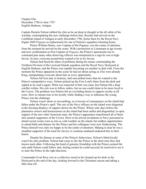Chapter One December 1786 to June 1787 English Harbour, Antigua

Captain Horatio Nelson rubbed his chin as he sat deep in thought in the aft cabin of his warship, contemplating the new challenge before him. Royalty had arrived on the Caribbean island of Antigua in early December 1786, borne there by the Royal Navy frigate *HMS Pegasus* as replacement for one of Nelson's squadron returning home.

Prince William Henry, now Captain of the Pegasus, was the centre of attention from the moment he arrived on the scene. With a promotion to Lieutenant at age twenty and now confirmation as Post Captain of *Pegasus*, the Prince's spectacular rise to command past many other deserving officers was interpreted as a sign he was in high favour. In turn, everyone around him wanted to be in *his* favour.

Nelson had faced his share of problems during his tenure commanding the Northern Division of the Leeward Islands squadron and the Royal Navy Dockyard at English Harbour, and the Prince was rapidly becoming yet another to deal with. From the moment the Prince appeared on the scene he had set about acting as if he were already King, manipulating everyone about him at every opportunity.

Nelson felt torn and, in honesty, had succumbed more than he wanted to the Prince's manipulative ways. Nelson picked up the First Lord's letter from the desk and sighed as he read it again. What was expected of him was clear, but Nelson felt a deep conflict within. His role was to follow orders, but no one could claim to be more loyal to the Crown. The problem was Nelson felt an overriding desire to support royalty at all costs. How to remain true to his loyalty while finding a way to influence the young Prince was the challenge.

Nelson wasn't alone in succumbing, as everyone of consequence on the island had fallen under the Prince's spell. The rest of the Navy officers on the island were disgusted at the fawning displays of support shown for the Prince. Where only days before the plantation owners and businessmen on the island had been sullen and disgruntled, in open support of the new rebel American state, the Prince's appearance transformed all of them into staunch supporters of the Crown. Prior to his arrival invitations to Navy personnel to attend social events were as rare as cold weather on the island, but endless opportunities to attend balls and dinners for the Prince and his colleagues were now forthcoming. The Prince himself was only too happy to be the centre of attention. Making it clear he was a steadfast supporter of the need for slavery to continue unabated endeared him to their hearts.

Despite his dismay at some of the Prince's behaviours, Nelson's blind loyalty wasn't his only problem. Nelson had come to *like* the Prince in the short time they had known each other. Following the bond of genuine friendship with the Prince seemed the only path Nelson could follow and, feeling certain he could succeed, he resolved to use it to steer the Prince in the right direction.

Commander Evan Ross was in a reflective mood as he cleaned up his desk in the Dockyard at the end of the day, looking forward to the Christmas season and taking a little time off.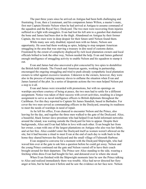The past three years since he arrived on Antigua had been both challenging and frustrating. Evan, then a Lieutenant, and his companion James Wilton, a master's mate, first met Captain Horatio Nelson when he had arrived at Antigua to assume command of the squadron and the Royal Navy Dockyard. The two men were recovering from injuries suffered in a fight with smugglers. Evan had lost his left arm to a gunshot that shattered the bone and James had been shot in the thigh. Abandoned on Antigua by their former Captain, the two men were in deep despair for their future until Nelson found them.

While many saw only disabled, injured men with no future, Nelson saw opportunity. He soon had them working as spies, helping to stop rampant American smuggling in the area that was starving a treasury in dire need of customs duties. Frustrated by the extent of complicity displayed by rich local plantation owners and local officials bribed to look the other way, Nelson needed the help. Evan and James gathered enough intelligence of smuggling activity to enable Nelson and his squadron to stamp it out.

Evan and James had also uncovered a plot concocted by two spies to destabilize the British held islands. The French and American agents, working in partnership, encouraged the ongoing smuggling and tried to push already sympathetic local plantation owners to rebel against excessive taxation. Unknown to the owners, however, they were also in the process of arming runaway slaves to enflame the situation when Evan and James learned of the plot. In a series of desperate actions the two men helped Nelson put a stop to it all.

Evan and James were rewarded with promotions, but with no openings on warships anywhere courtesy of being at peace, the two men had to settle for a different assignment. Notice was taken of their success with covert activities, resulting in a longer assignment to serve as naval intelligence officers to British diplomats throughout the Caribbean. For this they reported to Captain Sir James Standish, based in Barbados. For cover the two men served as commanding officers in the Dockyard, ensuring its readiness to meet the needs of warships in need of repair.

As he left his office, Evan chanced to encounter Nelson and the Prince, also leaving for the day, and together the three men walked to the gate of the Dockyard. Alice, a beautiful, black former slave prostitute who had helped Evan build informant networks around the island, was waiting outside the Dockyard for him to appear. Despite their backgrounds, Alice and Evan had fallen in love with each other. Evan bought her from her owner, a man with one of the largest plantations on Antigua who also was her father, and set her free. Alice couldn't enter the Dockyard itself as women weren't allowed on the site, but it had become a ritual to meet Evan at the end of each day to walk back to the home they shared between the Dockyard and the small village of Falmouth Harbour.

Evan stopped to converse for a moment with the Dockyard Shipwright, who had waved him over at the gate to ask him a question before he could get away. Nelson and the young Prince continued out the gate and Nelson veered off to have their coach brought around for their departure. The Prince saw Alice standing to the side, wearing a fetching white dress Evan had bought for her, and detoured over to where she stood.

When Evan finished with the Shipwright moments later he saw the Prince talking to Alice and realized immediately there was trouble. Alice had never directed her fiery anger at him, but he had seen it before and he saw the evidence on her face now. Nelson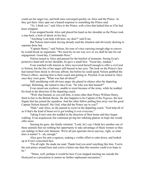could see her anger too, and both men converged quickly on Alice and the Prince. As they got there Alice spat out a heated response to something the Prince said.

"*No*, I think *not*," said Alice to the Prince, with a hiss that lashed him as if he had been whipped.

Evan stopped beside Alice and placed his hand on her shoulder as the Prince took a step back, a look of shock on his face.

"Anything I can help with here, my dear?" said Evan.

But Nelson intervened, having already read the situation and obviously desiring to separate them fast.

"Captain Henry," said Nelson, his tone of voice carrying enough edge to convey he would brook no arguments. "We must be on our way *now* or we shall be late for our engagement. Good day, Commander Ross."

Nelson turned to Alice and paused for the briefest of moments. Seeing Evan's protective hand still on her shoulder, he gave a small bow. "Good day, madam."

Evan watched with interest as Alice recovered herself enough to offer a civil nod to Nelson, but the fire of her anger still burned in her eyes. The look on the Prince's face had turned from shock to obvious affront, but before he could speak Nelson grabbed the Prince's elbow, steering him to their coach and getting in. Puzzled, Evan turned to Alice once they were gone. "What was that all about?"

Still smoldering with obvious anger she glared in silence after the departing carriage. Relenting, she turned to face Evan. "So who was that bastard?"

Evan raised one eyebrow, unable to resist because of the irony, while he nodded his head in the direction of the departing coach.

"Well, that bastard, as you call him, is none other than Prince William Henry, third in line to the British throne. He also happens to be Captain of the *Pegasus*, the new frigate that has joined the squadron. And the other fellow pulling him away was the good Captain Nelson himself. My God, what did the Prince say to you?"

"Huh," said Alice, as she paused to scowl at the departing coach. "God help all of us if that's the kind of beast we've got lording it over everyone."

Taking Evan's arm she nodded in the direction of their home and they began walking. Evan acquiesced, but continued giving her sidelong glances in hope she would offer more.

Sensing his gaze, she finally relented. "Look, let's say I think he's another one of these animals that see nothing but opportunity to take advantage of black women so they can indulge in their sick fantasies. We're all just ignorant slaves anyway, right, so what does it matter? I—ah, enough."

Alice gave his arm a squeeze, making a visible effort to calm down, and looked up at Evan's concerned face.

"I'm all right. He made me mad. Thank God you aren't anything like him. You're the real prince around here and you're a better one than this monster could ever hope to be."

"Hmm, well, perhaps it would be best if you stopped meeting me outside the Dockyard as a precaution to ensure no further unpleasant encounters."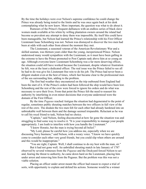By the time the holidays were over Nelson's supreme confidence he could change the Prince was already being tested to the limits and he was once again back at his desk contemplating what he now knew. More important, the question was what to do about it.

Rumours of the Prince's frequent dalliances with an endless series of black slave women made available at his whim by willing plantation owners around the island had become so prevalent any attempt to deny them was impossible. By itself this could have been manageable, but Nelson had learned the Prince's relationship with his First Officer Lieutenant Isaac Schomberg was not. Nelson was dismayed to discover the two men had been at odds with each other from almost the moment they met.

The Lieutenant, a seasoned veteran of the American Revolutionary War and a skilled seaman, was thirteen years older than the young, inexperienced Prince. Nelson understood many would sympathize with the Lieutenant, as it must have been galling in the extreme to have the Prince promoted to Post Captain rank above him at so young an age. Although everyone knew Lieutenant Schomberg was a far more deserving officer, the situation could still have worked because the Lieutenant, despite whatever frustration he felt, was at the least a dedicated officer. The real issue was the Prince failed to see all he had to do was give his Lieutenant free rein to do his job. The Prince had never been a diligent student even at the best of times, which fast became clear to the professional men of the sea surrounding him, adding to the problem.

The first bad weather they encountered on the trip outbound from England had been the start of it. If the Prince's orders had been followed the ship would have been lost. Schomberg and the rest of the crew were forced to ignore his orders and do what was necessary to save their lives. From that point the Prince felt the need to reassert his authority by interfering in even minor decisions that everyone understood were the domain of the First Officer.

By the time *Pegasus* reached Antigua the situation had degenerated to the point of regular, sometimes public shouting matches between the two officers in full view of the rest of the crew. The disdain the two men felt for each other had already hardened into an unbreakable wall between them and the damage seemed irreparable. Reluctant as he was to call his royal friend to task, Nelson had no choice.

"Captain," said Nelson, feeling disconcerted at how far gone the situation was and struggling to find some way to resolve it. "It is your responsibility to manage your people appropriately. I am loath to interfere with how you handle the Lieutenant."

"I know Horatio, but the man is trying beyond all belief."

"My Lord, please be careful how you address me, especially when we are discussing Navy business," said Nelson, with a weary voice. "I know we have quickly come to consider each other very good friends, but you could slip when others are around and this would be inappropriate."

"You are right, Captain. Well, I shall continue to do my best with the man, sir."

But it had not gone well. An unbridled shouting match in late January of 1787 observed by several witnesses from the *Pegasus* and the Dockyard forced Nelson to act and, fearing the threat to authority, he came down hard on the Lieutenant, placing him under arrest and removing him from the Pegasus. But the problem was this was not a viable solution.

Placing an officer under arrest meant the officer had reason to expect a trial of sorts, with opportunity to explain and defend his actions. Someone would be a winner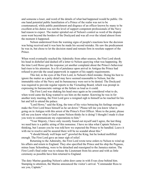and someone a loser, and word of the details of what had happened would be public. On one hand potential public humiliation of a Prince of the realm was not to be countenanced, while public punishment and disgrace of an officer known by many to be excellent at his duties was not the level of support competent professionals of the Navy had reason to expect. The matter spiraled out of Nelson's control as word of the dispute soon went beyond the borders of the Dockyard and was all over the island almost from the moment it happened.

Nelson understood from the warning signs of people's reactions how the decision was being received and it was here he made his second mistake. He saw the predicament he was in, but chose to let the decision stand and remain firm in resolute support of the Prince.

When word eventually reached the Admiralty from other sources, the First Lord shook his head in disbelief and dashed off a letter to Nelson querying what was happening. By the time Lord Howe got the response yet another complaint about the Prince's behaviour had risen to his attention. In a fit of petulance upon arrival in Antigua the Prince had refused to provide the usual paperwork in support of his supply requirements.

This led, in the eyes of the First Lord, to Nelson's third mistake. Doing his best to ignore the matter as a petty detail may have seemed reasonable to Nelson, but the immutable rules of the Navy and its bureaucracy were not to be denied. The Dockyard was required to provide regular reports to the Victualing Board, which was prompt in expressing its bureaucratic outrage at the failure as loud as it could.

The First Lord was shaking his head once again as he considered what to do, when word came the King wanted to see him on the matter. Knowing he was in for another testy meeting, the First Lord gave a resigned sigh to himself as he reached for his hat and left to attend the palace.

"Lord Howe," said the King, the tone of his voice betraying his feelings enough to make the First Lord brace himself as he sat down." Please tell me you know what is going on in Antigua with this arrest of the Prince's First Officer. More to the point, please tell me you know what in God's name Nelson thinks he is doing! I thought I made it clear you were to communicate my expectations to him."

"Your Majesty, I have only recently found out myself and I agree, the last thing we need here is a public airing of this nonsense. I have no idea what Captain Nelson is thinking, but I assure you he was told how we expected the Prince to be handled. Leave it with me to resolve and be assured there will be no scandal about this."

"I should bloody well hope not!" growled the King, but he looked mollified enough. The First Lord gave an inner sigh of relief.

Returning to the Admiralty, the First Lord wrote terse orders to Nelson to wind up his affairs and return to England. They also specified the Prince and his ship the Pegasus, minus Isaac Schomberg, were to be detached and reassigned to the Jamaica station. The First Lord's final order was to release the Lieutenant from his arrest and with as little ceremony as possible have him returned to England.

The duty Marine guarding Nelson's cabin door came in with Evan close behind him. Stamping to attention, the Marine announced the visitor's arrival. "Commander Ross to see you, Captain."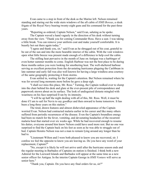Evan came to a stop in front of the desk as the Marine left. Nelson remained standing and staring out the wide stern windows of the aft cabin of *HMS Boreas*, a sleek frigate of the Royal Navy bearing twenty-eight guns and his command for the past three years.

"Reporting as ordered, Captain Nelson," said Evan, saluting as he spoke.

The Captain waved a hand vaguely in the direction of his desk without turning away from the view. "Thank you for coming Commander Ross. Have a seat. I was taking a little break. You can remove your uniform coat and make yourself comfortable. It is beastly hot out there again today."

"I agree and thank you, sir," said Evan as he shrugged out of his coat, grateful to be out of the sun and into the more bearable interior of the cabin. With the vent windows open what little breeze was present made enough of a difference to help cool the cabin.

The stifling heat pervasive in the month of June on Antigua was a harbinger of even hotter summer months to come. English Harbour was not the best place to be during these months unless you were looking for smothering heat. The well-sheltered harbour serving as excellent protection from the devastating hurricanes plaguing the Caribbean in late summer and early fall was also well known for having a large windless area courtesy of the same geography protecting it from storms.

Evan settled in, waiting for the Captain's attention. But Nelson remained where he was for several long moments more before he gave a deep sigh.

"I shall *not* miss this place, Mr. Ross." Turning, the Captain walked over to slump into the chair behind his desk and glare at the ever-present pile of correspondence and paperwork strewn about on its surface. The look of undisguised distaste mingled with weariness on his face surprised Evan by its intensity.

"I will be up half the night dealing with all of this, Mr. Ross. Well, it must be done if I am to sail for Nevis to say goodbye and then onward to home tomorrow. It has been a long three years on this station."

The tired, drawn features and almost disheveled appearance of the Captain worried Evan. Nelson had contracted malaria earlier in his career and like many others suffered from periodic recurrences of the disease. Even the Captain's boundless energy had been no match for the fever, vomiting, and devastating headaches of the recurrent malaria bout that started over six weeks ago. While he had recovered enough to resume his duties, everyone around him knew Nelson could have used more rest. But no one was surprised to find the Captain back on his feet as soon as he was able to struggle out of bed. Captain Horatio Nelson was not a man to remain lying around any longer than he had to.

"Lieutenant Wilton and I were both pleased to know you are recovered, sir. I confess we feel the opposite to know you are leaving us. Do you have any word of your replacement, Captain?"

"No, except it is likely he will not arrive until after the hurricane season ends and the regular meeting in Barbados of Captains on station is finished. I think both a new Admiral for the Leeward Islands and Barbados will appear at the same time as a new senior officer for Antigua. In the interim Captain George in *HMS Venture* will serve as senior here."

"Thank you, Captain. Do you have any final orders for us, sir?"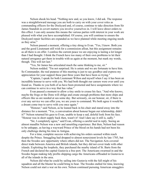Nelson shook his head. "Nothing new and, so you know, I did ask. The response was a straightforward message you are both to carry on with your cover roles as commanding officers for the Dockyard and, of course, continue to take direction from Sir James Standish in covert matters you involve yourselves in. I will leave direct orders to this effect. I can only assume this means the various parties with interest in your work are pleased with what you have accomplished. Of course, you will continue to ensure the Dockyard repair facilities are expanded as we have planned while meeting ongoing needs as they arise."

Nelson paused a moment, offering a tiny shrug to Evan. "Yes, I know. Both you and the good Lieutenant still wish for a commission afloat, but this assignment remains as all there is on offer. I confess the current peace we are enjoying is lasting a lot longer than I had thought. I think the French have too many of their own problems to let their natural arrogance get them in trouble with us again at the moment, but mark my words, though. This will not last."

"Yes, Sir James has articulated much the same thinking to me, sir."

Nelson nodded. "I'm not surprised. He is astute and we are fortunate to have him. So Commander, the real purpose of this meeting is just to say goodbye and express my appreciation for your support these past three years that have been so trying."

"Captain, I speak for both Lieutenant Wilton and myself when I say it has been an incredible honour to serve with you. We had both thought our careers were over until you found us. Thanks to you both of us have been promoted and have assignments where we can continue to serve in a way that has value."

Evan paused a moment to allow a tiny smile to crease his face. "And who knows, maybe the frogs or the Dons will oblige and create enough problems that more ships and officers like us are needed at sea some day. But seriously, on our honour, sir, if there is ever any service we can offer you, we are yours to command. We both agree it would be a dream come true to serve with you once again."

"Honour," said Nelson, as he leaned back in his chair and stared away into the distance for a moment. "Yes, a conversation about honour began our relationship, didn't it?" Nelson returned his gaze to Evan, unable to keep a sad, doleful look from his face. "Honour was in short supply back then, wasn't it? And I dare say it still is, sadly."

"Sir, I completely agree," said Evan, offering a careful nod in reply. Seeing an almost maudlin Nelson was a new and unsettling experience. But then, Nelson had reason to be unhappy, as having a wayward Prince of the blood on his hands had not been his only challenge during his time in Antigua.

For a time, complete success with achieving his orders seemed within reach despite the Prince. Smuggling had dropped to almost nonexistent levels by late 1785, but then the Swedes saw opportunity where others did not. The Navigation Acts covered direct trade between America and British islands, but they did not cover trade with other islands. Exploiting the loophole, they purchased the nearby island of St. Barts from the French and declared the capital Gustavia a free port. The Americans swarmed in and the Swedes began making tidy profits shipping cargo the Americans offloaded in Gustavia to all of the islands in the area.

Nelson did what he could by sailing into Gustavia with the full might of his squadron and all the bluster he could bring to bear. The Swedes stalled for time, knowing Nelson could not start a war on his own. Nelson continued pursuing American smugglers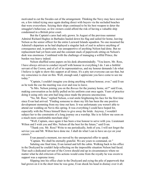motivated to cut the Swedes out of the arrangement. Thinking the Navy may have moved on, a few risked trying once again dealing direct with buyers via the secluded beaches that were everywhere. Seizing their ships continued to be his best weapon to deter the smuggler's behaviour, as few owners could afford the risk of having a valuable ship condemned in a British prize court.

But the Captain's cares had only grown. In August of the previous summer Admiral Richard Hughes in Barbados hauled down his flag and sailed for home, leaving Nelson as the senior officer for the entire Leeward Islands squadron. No one mourned the Admiral's departure as he had displayed a singular lack of zeal to achieve anything of consequence and, in particular, was unsupportive of anything Nelson had done. But no replacement had yet been sent and the constant stack of paperwork sitting on Nelson's desk was enormous. Combined with the challenge of managing a willful Prince, the burden was heavy indeed.

Nelson shuffled some papers on his desk absentmindedly. "You know, Mr. Ross, I have always striven to conduct myself with honour in everything I do. I am a faithful servant of the Crown, and of *all* of its representatives, and my honour demands I do what I believe is right to show this support at all times. It's a pity not everyone can see that, but my conscience is clear on this. Well, enough said, I appreciate you have come to see me today."

"Captain, I couldn't imagine you doing anything without honour, ever," said Evan as he took the cue the meeting was over and rose to leave.

"Is Mrs. Nelson joining you on the *Boreas* for the journey home, sir?" said Evan, making conversation as he deftly pulled on his uniform coat once again. Years of practice doing it using only one arm had long since made the process unconscious.

"No, Mr. Ross," replied Nelson, a real smile brightening his face for the first time since Evan had arrived. "Finding someone to share my life has been the one positive development stemming from my time out here. It was unfortunate you weren't able to attend our wedding on Nevis this spring. It was everything I could have hoped for, especially with the Prince himself there to give away the bride. Anyway, I wouldn't subject her to the constraints of a long journey on a warship. She is to follow me soon on a much more comfortable merchant ship."

"Well, Captain, once again it has been a true honour to serve with you. Lieutenant Wilton and I wish you and Mrs. Nelson all the best for the future," said Evan.

"Thank you. Mr. Ross? Write to me periodically, both of you. I will not forget the service you and Mr. Wilton have done me. I shall do what I can to have an eye on your careers."

Evan paused a moment, too moved by the unexpected offer to speak.

"Captain. We shall be eternally grateful. We are yours to command, sir."

Saluting one final time, Evan turned and left the cabin. Walking back to his office in the Dockyard he couldn't help reflecting on the impossible situation Nelson had faced. That such a dedicated servant of the Crown should end up in circumstances where no matter what he did criticism of his actions would come from the royalty he was sworn to support was a supreme irony.

Slipping into his office chair in the Dockyard and eying the pile of paperwork that had grown on it in the short time he was gone, Evan shook his head in dismay over it all.